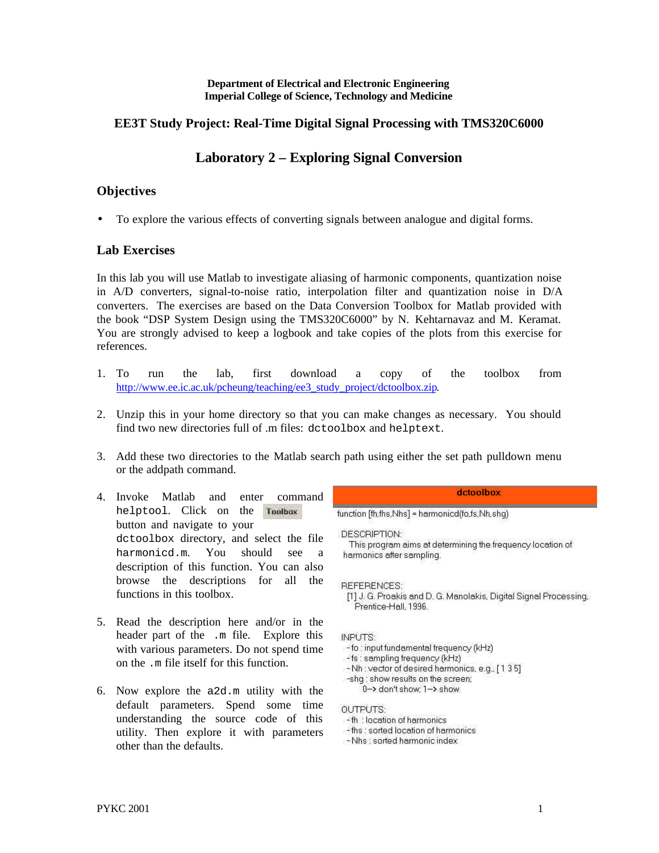#### **Department of Electrical and Electronic Engineering Imperial College of Science, Technology and Medicine**

## **EE3T Study Project: Real-Time Digital Signal Processing with TMS320C6000**

# **Laboratory 2 – Exploring Signal Conversion**

### **Objectives**

• To explore the various effects of converting signals between analogue and digital forms.

### **Lab Exercises**

In this lab you will use Matlab to investigate aliasing of harmonic components, quantization noise in  $A/D$  converters, signal-to-noise ratio, interpolation filter and quantization noise in  $D/A$ converters. The exercises are based on the Data Conversion Toolbox for Matlab provided with the book "DSP System Design using the TMS320C6000" by N. Kehtarnavaz and M. Keramat. You are strongly advised to keep a logbook and take copies of the plots from this exercise for references.

- 1. To run the lab, first download a copy of the toolbox from http://www.ee.ic.ac.uk/pcheung/teaching/ee3\_study\_project/dctoolbox.zip.
- 2. Unzip this in your home directory so that you can make changes as necessary. You should find two new directories full of .m files: dctoolbox and helptext.
- 3. Add these two directories to the Matlab search path using either the set path pulldown menu or the addpath command.
- 4. Invoke Matlab and enter command helptool. Click on the Toolbox button and navigate to your dctoolbox directory, and select the file harmonicd.m. You should see a description of this function. You can also browse the descriptions for all the functions in this toolbox.
- 5. Read the description here and/or in the header part of the .m file. Explore this with various parameters. Do not spend time on the .m file itself for this function.
- 6. Now explore the a2d.m utility with the default parameters. Spend some time understanding the source code of this utility. Then explore it with parameters other than the defaults.

dctoolbox

function [fh,fhs,Nhs] = harmonicd(fo,fs,Nh,shq)

DESCRIPTION:

This program aims at determining the frequency location of harmonics after sampling.

**REFERENCES:** 

[1] J. G. Proakis and D. G. Manolakis, Digital Signal Processing, Prentice-Hall, 1996.

#### **INPUTS:**

- -fo : input fundamental frequency (kHz)
- -fs : sampling frequency (kHz)
- -Nh: vector of desired harmonics, e.g., [135]
- -shq : show results on the screen; 0-> don't show; 1-> show

**OUTPUTS:** 

- -th : location of harmonics
- fhs ; sorted location of harmonics
- -Nhs : sorted harmonic index